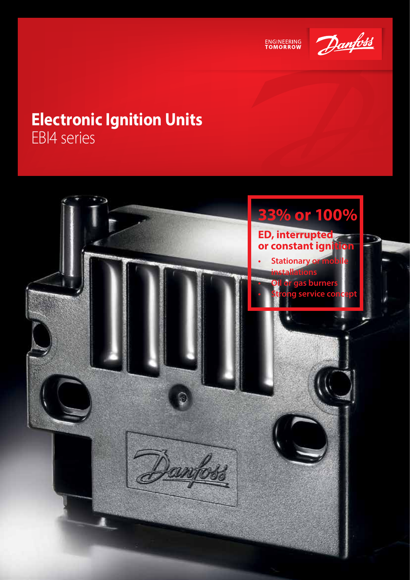



## **Electronic Ignition Units** EBI4 series

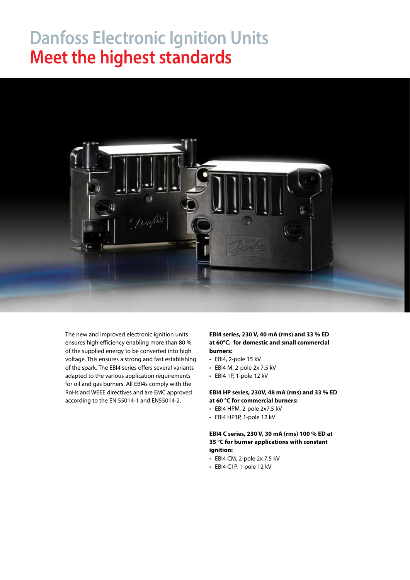## **Danfoss Electronic Ignition Units Meet the highest standards**



The new and improved electronic ignition units ensures high efficiency enabling more than 80 % of the supplied energy to be converted into high voltage. This ensures a strong and fast establishing of the spark. The EBI4 series offers several variants adapted to the various application requirements for oil and gas burners. All EBI4s comply with the RoHs and WEEE directives and are EMC approved according to the EN 55014-1 and EN55014-2.

**EBI4 series, 230 V, 40 mA (rms) and 33 % ED at 60°C. for domestic and small commercial burners:**

- EBI4, 2-pole 15 kV
- EBI4 M, 2-pole 2x 7,5 kV
- EBI4 1P, 1-pole 12 kV

**EBI4 HP series, 230V, 48 mA (rms) and 33 % ED at 60 °C for commercial burners:**

- EBI4 HPM, 2-pole 2x7,5 kV
- EBI4 HP1P, 1-pole 12 kV

**EBI4 C series, 230 V, 30 mA (rms) 100 % ED at 35 °C for burner applications with constant ignition:**

- EBI4 CM, 2-pole 2x 7,5 kV
- EBI4 C1P, 1-pole 12 kV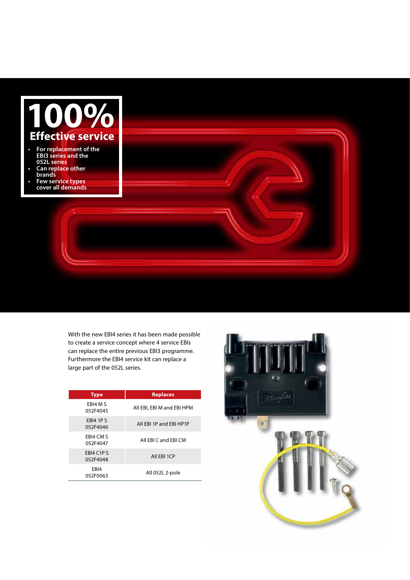

With the new EBI4 series it has been made possible to create a service concept where 4 service EBIs can replace the entire previous EBI3 programme. Furthermore the EBI4 service kit can replace a large part of the 052L series.

| <b>Type</b>                  | <b>Replaces</b>            |
|------------------------------|----------------------------|
| EBI4 M S<br>052F4045         | All EBI, EBI M and EBI HPM |
| <b>EBI4 1P S</b><br>052F4046 | All EBI 1P and EBI HP1P    |
| EBI4 CM S<br>052F4047        | All FBI C and FBI CM       |
| EBI4 C1P S<br>052F4048       | All EBI 1CP                |
| EBI4<br>052F0063             | All 052L 2-pole            |